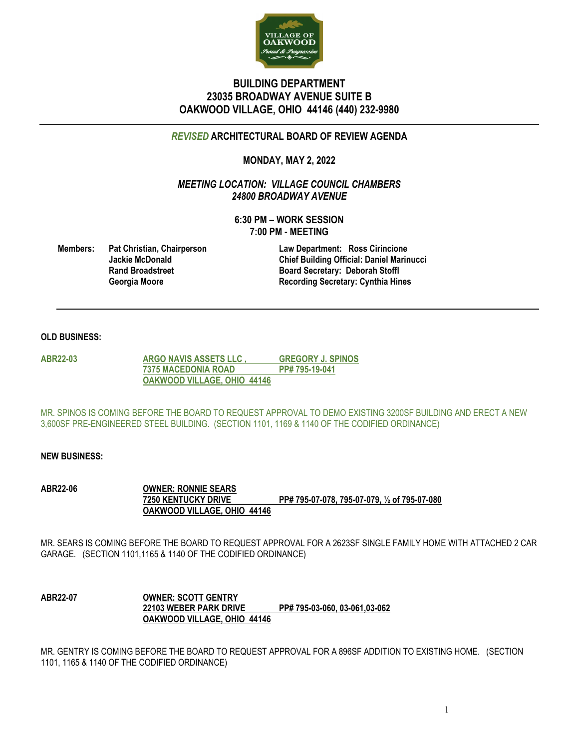

# **BUILDING DEPARTMENT 23035 BROADWAY AVENUE SUITE B OAKWOOD VILLAGE, OHIO 44146 (440) 232-9980**

# *REVISED* **ARCHITECTURAL BOARD OF REVIEW AGENDA**

# **MONDAY, MAY 2, 2022**

*MEETING LOCATION: VILLAGE COUNCIL CHAMBERS 24800 BROADWAY AVENUE*

> **6:30 PM – WORK SESSION 7:00 PM - MEETING**

**Members: Pat Christian, Chairperson Law Department: Ross Cirincione**

**Jackie McDonald Chief Building Official: Daniel Marinucci Rand Broadstreet Board Secretary: Deborah Stoffl**<br> **Board Secretary: Cynthia Hir**<br> **Recording Secretary: Cynthia Hir Georgia Moore Recording Secretary: Cynthia Hines**

## **OLD BUSINESS:**

**ABR22-03 ARGO NAVIS ASSETS LLC , GREGORY J. SPINOS 7375 MACEDONIA ROAD PP# 795-19-041 OAKWOOD VILLAGE, OHIO 44146**

MR. SPINOS IS COMING BEFORE THE BOARD TO REQUEST APPROVAL TO DEMO EXISTING 3200SF BUILDING AND ERECT A NEW 3,600SF PRE-ENGINEERED STEEL BUILDING. (SECTION 1101, 1169 & 1140 OF THE CODIFIED ORDINANCE)

## **NEW BUSINESS:**

**ABR22-06 OWNER: RONNIE SEARS 7250 KENTUCKY DRIVE PP# 795-07-078, 795-07-079, ½ of 795-07-080 OAKWOOD VILLAGE, OHIO 44146**

MR. SEARS IS COMING BEFORE THE BOARD TO REQUEST APPROVAL FOR A 2623SF SINGLE FAMILY HOME WITH ATTACHED 2 CAR GARAGE. (SECTION 1101,1165 & 1140 OF THE CODIFIED ORDINANCE)

**ABR22-07 OWNER: SCOTT GENTRY 22103 WEBER PARK DRIVE PP# 795-03-060, 03-061,03-062 OAKWOOD VILLAGE, OHIO 44146**

MR. GENTRY IS COMING BEFORE THE BOARD TO REQUEST APPROVAL FOR A 896SF ADDITION TO EXISTING HOME. (SECTION 1101, 1165 & 1140 OF THE CODIFIED ORDINANCE)